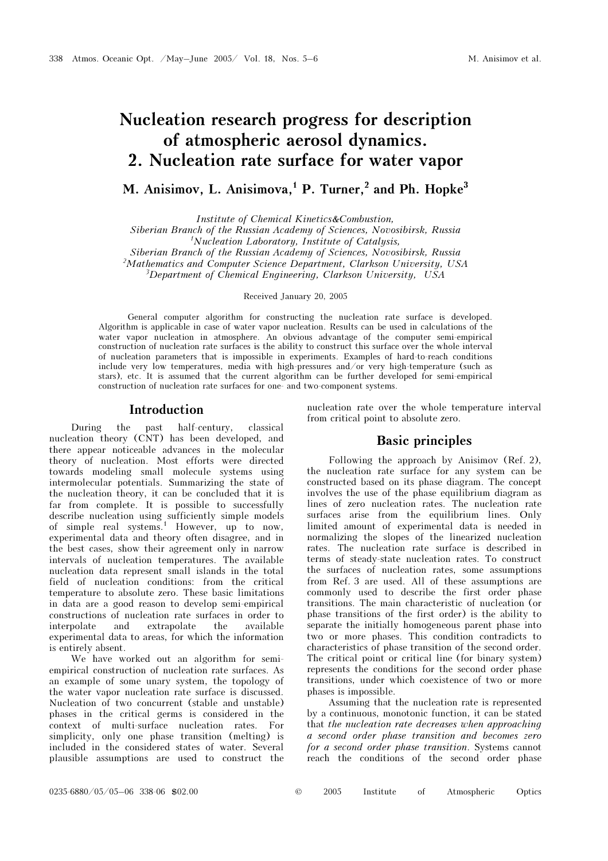# Nucleation research progress for description of atmospheric aerosol dynamics. 2. Nucleation rate surface for water vapor

M. Anisimov, L. Anisimova.<sup>1</sup> P. Turner.<sup>2</sup> and Ph. Hopke<sup>3</sup>

Institute of Chemical Kinetics&Combustion,

Siberian Branch of the Russian Academy of Sciences, Novosibirsk, Russia 1 Nucleation Laboratory, Institute of Catalysis,

Siberian Branch of the Russian Academy of Sciences, Novosibirsk, Russia

<sup>2</sup>Mathematics and Computer Science Department, Clarkson University, USA

 $3$ Department of Chemical Engineering, Clarkson University, USA

Received January 20, 2005

General computer algorithm for constructing the nucleation rate surface is developed. Algorithm is applicable in case of water vapor nucleation. Results can be used in calculations of the water vapor nucleation in atmosphere. An obvious advantage of the computer semi-empirical construction of nucleation rate surfaces is the ability to construct this surface over the whole interval of nucleation parameters that is impossible in experiments. Examples of hard-to-reach conditions include very low temperatures, media with high-pressures and/or very high-temperature (such as stars), etc. It is assumed that the current algorithm can be further developed for semi-empirical construction of nucleation rate surfaces for one- and two-component systems.

### Introduction

During the past half-century, classical nucleation theory (CNT) has been developed, and there appear noticeable advances in the molecular theory of nucleation. Most efforts were directed towards modeling small molecule systems using intermolecular potentials. Summarizing the state of the nucleation theory, it can be concluded that it is far from complete. It is possible to successfully describe nucleation using sufficiently simple models of simple real systems.<sup>1</sup> However, up to now, experimental data and theory often disagree, and in the best cases, show their agreement only in narrow intervals of nucleation temperatures. The available nucleation data represent small islands in the total field of nucleation conditions: from the critical temperature to absolute zero. These basic limitations in data are a good reason to develop semi-empirical constructions of nucleation rate surfaces in order to interpolate and extrapolate the available experimental data to areas, for which the information is entirely absent.

We have worked out an algorithm for semiempirical construction of nucleation rate surfaces. As an example of some unary system, the topology of the water vapor nucleation rate surface is discussed. Nucleation of two concurrent (stable and unstable) phases in the critical germs is considered in the context of multi-surface nucleation rates. For simplicity, only one phase transition (melting) is included in the considered states of water. Several plausible assumptions are used to construct the nucleation rate over the whole temperature interval from critical point to absolute zero.

### Basic principles

Following the approach by Anisimov (Ref. 2), the nucleation rate surface for any system can be constructed based on its phase diagram. The concept involves the use of the phase equilibrium diagram as lines of zero nucleation rates. The nucleation rate surfaces arise from the equilibrium lines. Only limited amount of experimental data is needed in normalizing the slopes of the linearized nucleation rates. The nucleation rate surface is described in terms of steady-state nucleation rates. To construct the surfaces of nucleation rates, some assumptions from Ref. 3 are used. All of these assumptions are commonly used to describe the first order phase transitions. The main characteristic of nucleation (or phase transitions of the first order) is the ability to separate the initially homogeneous parent phase into two or more phases. This condition contradicts to characteristics of phase transition of the second order. The critical point or critical line (for binary system) represents the conditions for the second order phase transitions, under which coexistence of two or more phases is impossible.

Assuming that the nucleation rate is represented by a continuous, monotonic function, it can be stated that the nucleation rate decreases when approaching a second order phase transition and becomes zero for a second order phase transition. Systems cannot reach the conditions of the second order phase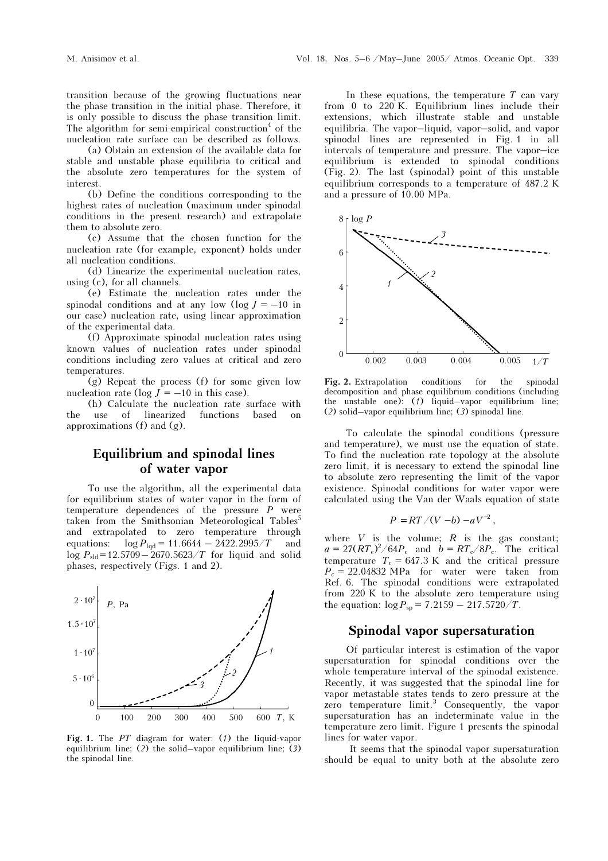transition because of the growing fluctuations near the phase transition in the initial phase. Therefore, it is only possible to discuss the phase transition limit. The algorithm for semi-empirical construction<sup>4</sup> of the nucleation rate surface can be described as follows.

 (a) Obtain an extension of the available data for stable and unstable phase equilibria to critical and the absolute zero temperatures for the system of interest.

(b) Define the conditions corresponding to the highest rates of nucleation (maximum under spinodal conditions in the present research) and extrapolate them to absolute zero.

(c) Assume that the chosen function for the nucleation rate (for example, exponent) holds under all nucleation conditions.

(d) Linearize the experimental nucleation rates, using (c), for all channels.

(e) Estimate the nucleation rates under the spinodal conditions and at any low  $(\log J = -10)$  in our case) nucleation rate, using linear approximation of the experimental data.

(f) Approximate spinodal nucleation rates using known values of nucleation rates under spinodal conditions including zero values at critical and zero temperatures.

(g) Repeat the process (f) for some given low nucleation rate (log  $J = -10$  in this case).

(h) Calculate the nucleation rate surface with the use of linearized functions based on approximations  $(f)$  and  $(g)$ .

# Equilibrium and spinodal lines of water vapor

To use the algorithm, all the experimental data for equilibrium states of water vapor in the form of temperature dependences of the pressure P were taken from the Smithsonian Meteorological Tables<sup>5</sup> and extrapolated to zero temperature through equations:  $\log P_{\text{lad}} = 11.6644 - 2422.2995/T$  and  $\log P_{\text{sd}} = 12.5709 - 2670.5623/T$  for liquid and solid phases, respectively (Figs. 1 and 2).



Fig. 1. The  $PT$  diagram for water: (1) the liquid-vapor equilibrium line; (2) the solid–vapor equilibrium line; (3) the spinodal line.

In these equations, the temperature  $T$  can vary from 0 to 220 K. Equilibrium lines include their extensions, which illustrate stable and unstable equilibria. The vapor–liquid, vapor–solid, and vapor spinodal lines are represented in Fig. 1 in all intervals of temperature and pressure. The vapor–ice equilibrium is extended to spinodal conditions (Fig. 2). The last (spinodal) point of this unstable equilibrium corresponds to a temperature of 487.2 K and a pressure of 10.00 MPa.



Fig. 2. Extrapolation conditions for the spinodal decomposition and phase equilibrium conditions (including the unstable one):  $(1)$  liquid–vapor equilibrium line; (2) solid–vapor equilibrium line; (3) spinodal line.

To calculate the spinodal conditions (pressure and temperature), we must use the equation of state. To find the nucleation rate topology at the absolute zero limit, it is necessary to extend the spinodal line to absolute zero representing the limit of the vapor existence. Spinodal conditions for water vapor were calculated using the Van der Waals equation of state

$$
P = RT/(V-b) - aV^{-2},
$$

where  $V$  is the volume;  $R$  is the gas constant;  $a = 27(RT_c)^2/64P_c$  and  $b = RT_c/8P_c$ . The critical temperature  $T_c = 647.3 \text{ K}$  and the critical pressure  $P_c = 22.04832 \text{ MPa}$  for water were taken from Ref. 6. The spinodal conditions were extrapolated from 220 K to the absolute zero temperature using the equation:  $\log P_{\rm{sp}} = 7.2159 - 217.5720/T$ .

### Spinodal vapor supersaturation

Of particular interest is estimation of the vapor supersaturation for spinodal conditions over the whole temperature interval of the spinodal existence. Recently, it was suggested that the spinodal line for vapor metastable states tends to zero pressure at the zero temperature limit.<sup>3</sup> Consequently, the vapor supersaturation has an indeterminate value in the temperature zero limit. Figure 1 presents the spinodal lines for water vapor.

 It seems that the spinodal vapor supersaturation should be equal to unity both at the absolute zero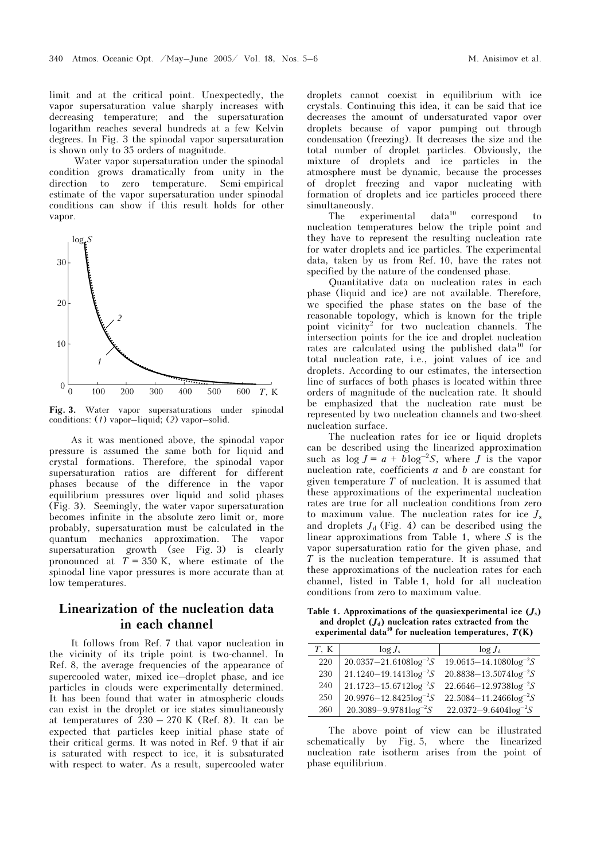limit and at the critical point. Unexpectedly, the vapor supersaturation value sharply increases with decreasing temperature; and the supersaturation logarithm reaches several hundreds at a few Kelvin degrees. In Fig. 3 the spinodal vapor supersaturation is shown only to 35 orders of magnitude.

 Water vapor supersaturation under the spinodal condition grows dramatically from unity in the direction to zero temperature. Semi-empirical estimate of the vapor supersaturation under spinodal conditions can show if this result holds for other vapor.



Fig. 3. Water vapor supersaturations under spinodal conditions: (1) vapor–liquid; (2) vapor–solid.

As it was mentioned above, the spinodal vapor pressure is assumed the same both for liquid and crystal formations. Therefore, the spinodal vapor supersaturation ratios are different for different phases because of the difference in the vapor equilibrium pressures over liquid and solid phases (Fig. 3). Seemingly, the water vapor supersaturation becomes infinite in the absolute zero limit or, more probably, supersaturation must be calculated in the quantum mechanics approximation. The vapor supersaturation growth (see Fig. 3) is clearly pronounced at  $T = 350$  K, where estimate of the spinodal line vapor pressures is more accurate than at low temperatures.

## Linearization of the nucleation data in each channel

It follows from Ref. 7 that vapor nucleation in the vicinity of its triple point is two-channel. In Ref. 8, the average frequencies of the appearance of supercooled water, mixed ice–droplet phase, and ice particles in clouds were experimentally determined. It has been found that water in atmospheric clouds can exist in the droplet or ice states simultaneously at temperatures of  $230 - 270$  K (Ref. 8). It can be expected that particles keep initial phase state of their critical germs. It was noted in Ref. 9 that if air is saturated with respect to ice, it is subsaturated with respect to water. As a result, supercooled water droplets cannot coexist in equilibrium with ice crystals. Continuing this idea, it can be said that ice decreases the amount of undersaturated vapor over droplets because of vapor pumping out through condensation (freezing). It decreases the size and the total number of droplet particles. Obviously, the mixture of droplets and ice particles in the atmosphere must be dynamic, because the processes of droplet freezing and vapor nucleating with formation of droplets and ice particles proceed there

simultaneously.<br>The exp  $experimental$  data<sup>10</sup> correspond to nucleation temperatures below the triple point and they have to represent the resulting nucleation rate for water droplets and ice particles. The experimental data, taken by us from Ref. 10, have the rates not specified by the nature of the condensed phase.

Quantitative data on nucleation rates in each phase (liquid and ice) are not available. Therefore, we specified the phase states on the base of the reasonable topology, which is known for the triple point vicinity<sup>2</sup> for two nucleation channels. The intersection points for the ice and droplet nucleation rates are calculated using the published data<sup>10</sup> for total nucleation rate, i.e., joint values of ice and droplets. According to our estimates, the intersection line of surfaces of both phases is located within three orders of magnitude of the nucleation rate. It should be emphasized that the nucleation rate must be represented by two nucleation channels and two-sheet nucleation surface.

The nucleation rates for ice or liquid droplets can be described using the linearized approximation such as  $\log J = a + b \log^{-2} S$ , where *J* is the vapor nucleation rate, coefficients  $a$  and  $b$  are constant for given temperature  $T$  of nucleation. It is assumed that these approximations of the experimental nucleation rates are true for all nucleation conditions from zero to maximum value. The nucleation rates for ice  $J_s$ and droplets  $J_d$  (Fig. 4) can be described using the linear approximations from Table 1, where  $S$  is the vapor supersaturation ratio for the given phase, and T is the nucleation temperature. It is assumed that these approximations of the nucleation rates for each channel, listed in Table 1, hold for all nucleation conditions from zero to maximum value.

Table 1. Approximations of the quasiexperimental ice  $(J_s)$ and droplet  $(J_d)$  nucleation rates extracted from the experimental data<sup>10</sup> for nucleation temperatures,  $T(K)$ 

| T. K | $log J_s$                       | $\log J_d$                      |
|------|---------------------------------|---------------------------------|
| 220  | $20.0357 - 21.6108 \log^{-2} S$ | $19.0615 - 14.1080 \log^{-2} S$ |
| 230  | $21.1240 - 19.1413 \log^{-2} S$ | $20.8838 - 13.5074 \log^{-2} S$ |
| 240  | $21.1723 - 15.6712 \log^{-2} S$ | $22.6646 - 12.9738 \log^{-2} S$ |
| 250  | $20.9976 - 12.8425 \log^{-2} S$ | $22.5084 - 11.2466 \log^{-2} S$ |
| 260  | $20.3089 - 9.9781 \log^{-2} S$  | $22.0372 - 9.6404 \log^{-2} S$  |

The above point of view can be illustrated schematically by Fig. 5, where the linearized nucleation rate isotherm arises from the point of phase equilibrium.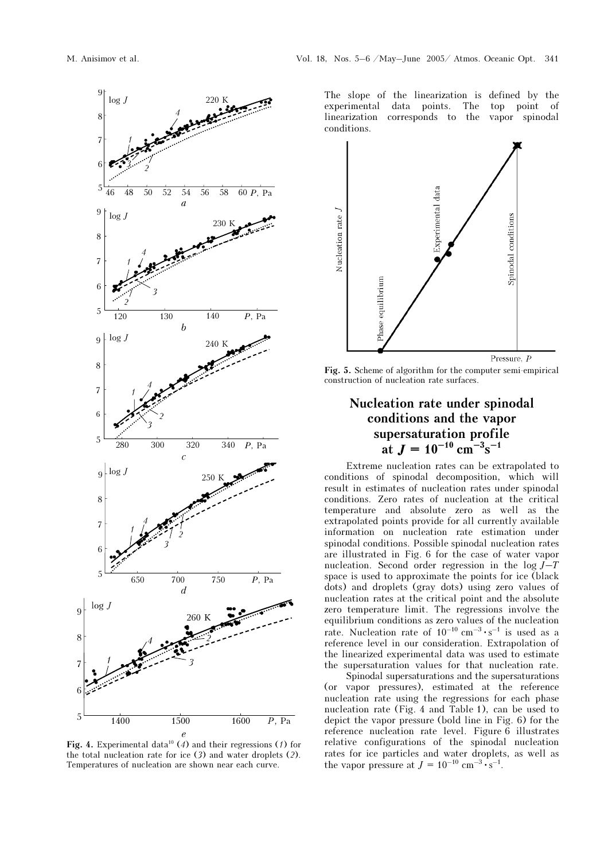

Fig. 4. Experimental data<sup>10</sup> (4) and their regressions (1) for the total nucleation rate for ice (3) and water droplets (2). Temperatures of nucleation are shown near each curve.

The slope of the linearization is defined by the experimental data points. The top point of linearization corresponds to the vapor spinodal conditions.



Fig. 5. Scheme of algorithm for the computer semi-empirical construction of nucleation rate surfaces.

# Nucleation rate under spinodal conditions and the vapor supersaturation profile at  $J = 10^{-10}$  cm<sup>-3</sup>s<sup>-1</sup>

Extreme nucleation rates can be extrapolated to conditions of spinodal decomposition, which will result in estimates of nucleation rates under spinodal conditions. Zero rates of nucleation at the critical temperature and absolute zero as well as the extrapolated points provide for all currently available information on nucleation rate estimation under spinodal conditions. Possible spinodal nucleation rates are illustrated in Fig. 6 for the case of water vapor nucleation. Second order regression in the  $log J-T$ space is used to approximate the points for ice (black dots) and droplets (gray dots) using zero values of nucleation rates at the critical point and the absolute zero temperature limit. The regressions involve the equilibrium conditions as zero values of the nucleation rate. Nucleation rate of  $10^{-10}$  cm<sup>-3</sup> · s<sup>-1</sup> is used as a reference level in our consideration. Extrapolation of the linearized experimental data was used to estimate the supersaturation values for that nucleation rate.

 Spinodal supersaturations and the supersaturations (or vapor pressures), estimated at the reference nucleation rate using the regressions for each phase nucleation rate (Fig. 4 and Table 1), can be used to depict the vapor pressure (bold line in Fig. 6) for the reference nucleation rate level. Figure 6 illustrates relative configurations of the spinodal nucleation rates for ice particles and water droplets, as well as the vapor pressure at  $J = 10^{-10}$  cm<sup>-3</sup> · s<sup>-1</sup>.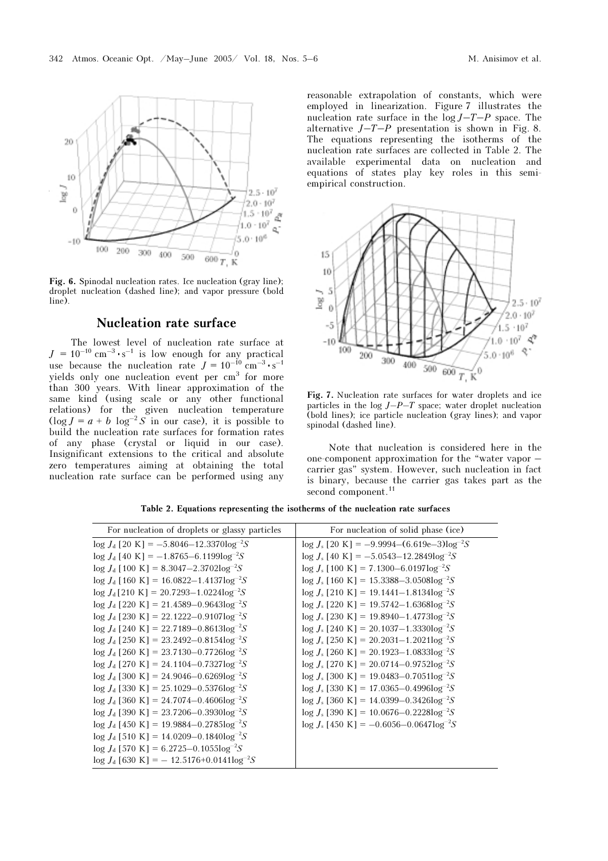

Fig. 6. Spinodal nucleation rates. Ice nucleation (gray line); droplet nucleation (dashed line); and vapor pressure (bold line).

### Nucleation rate surface

The lowest level of nucleation rate surface at  $J = 10^{-10}$  cm<sup>-3</sup> · s<sup>-1</sup> is low enough for any practical use because the nucleation rate  $J = 10^{-10}$  cm<sup>-3</sup> · s<sup>-1</sup> yields only one nucleation event per cm<sup>3</sup> for more than 300 years. With linear approximation of the same kind (using scale or any other functional relations) for the given nucleation temperature  $(\log J = a + b \log^{-2} S)$  in our case), it is possible to build the nucleation rate surfaces for formation rates of any phase (crystal or liquid in our case). Insignificant extensions to the critical and absolute zero temperatures aiming at obtaining the total nucleation rate surface can be performed using any

reasonable extrapolation of constants, which were employed in linearization. Figure 7 illustrates the nucleation rate surface in the  $log J - T - P$  space. The alternative  $J-T-P$  presentation is shown in Fig. 8. The equations representing the isotherms of the nucleation rate surfaces are collected in Table 2. The available experimental data on nucleation and equations of states play key roles in this semiempirical construction.



Fig. 7. Nucleation rate surfaces for water droplets and ice particles in the log  $J-P-T$  space; water droplet nucleation (bold lines); ice particle nucleation (gray lines); and vapor spinodal (dashed line).

Note that nucleation is considered here in the one-component approximation for the "water vapor – carrier gas" system. However, such nucleation in fact is binary, because the carrier gas takes part as the second component.<sup>11</sup>

|  |  |  | Table 2. Equations representing the isotherms of the nucleation rate surfaces |  |  |  |  |  |  |  |  |
|--|--|--|-------------------------------------------------------------------------------|--|--|--|--|--|--|--|--|
|--|--|--|-------------------------------------------------------------------------------|--|--|--|--|--|--|--|--|

| For nucleation of droplets or glassy particles    | For nucleation of solid phase (ice)                    |
|---------------------------------------------------|--------------------------------------------------------|
| $\log J_d$ [20 K] = -5.8046-12.3370 $\log^{-2}S$  | $\log J_s$ [20 K] = -9.9994-(6.619e-3) $\log^{-2}S$    |
| $\log J_d$ [40 K] = -1.8765-6.1199 $\log^{-2}S$   | $\log J_s$ [40 K] = -5.0543-12.2849 $\log^{-2}S$       |
| $\log J_d$ [100 K] = 8.3047-2.3702 $\log^{-2}S$   | $log J_s [100 \text{ K}] = 7.1300 - 6.0197 log^{-2} S$ |
| $\log J_d$ [160 K] = 16.0822–1.4137 $\log^{-2}S$  | $\log J_s$ [160 K] = 15.3388-3.0508 $\log^{-2}S$       |
| $\log J_d$ [210 K] = 20.7293-1.0224 $\log^{-2}S$  | $\log J_s$ [210 K] = 19.1441–1.8134 $\log^{-2}S$       |
| $log J_d$ [220 K] = 21.4589–0.9643 $log^{-2}S$    | $log J_s$ [220 K] = 19.5742–1.6368 $log^{-2}S$         |
| $log J_d$ [230 K] = 22.1222–0.9107 $log^{-2}S$    | $\log J_s$ [230 K] = 19.8940–1.4773 $\log^{-2}S$       |
| $log J_d$ [240 K] = 22.7189–0.8613 $log^{-2}S$    | $\log J_s$ [240 K] = 20.1037–1.3330 $\log^{-2}S$       |
| $log J_d$ [250 K] = 23.2492–0.8154 $log^{-2}S$    | $\log J_s$ [250 K] = 20.2031–1.2021 $\log^{-2}S$       |
| $\log J_d$ [260 K] = 23.7130-0.7726 $\log^{-2}S$  | $\log J_s$ [260 K] = 20.1923–1.0833 $\log^{-2}S$       |
| $\log J_d$ [270 K] = 24.1104–0.7327 $\log^{-2}S$  | $\log J_s$ [270 K] = 20.0714–0.9752 $\log^{-2}S$       |
| $log J_d$ [300 K] = 24.9046–0.6269 $log^{-2}S$    | $log J_s$ [300 K] = 19.0483–0.7051 $log^{-2}S$         |
| $log J_d$ [330 K] = 25.1029–0.5376 $log^{-2}S$    | $log J_s$ [330 K] = 17.0365–0.4996 $log^{-2}S$         |
| $log J_d$ [360 K] = 24.7074–0.4606 $log^{-2}S$    | $log J_s$ [360 K] = 14.0399–0.3426 $log^{-2}S$         |
| $log J_d$ [390 K] = 23.7206–0.3930 $log^{-2}S$    | $log J_s$ [390 K] = 10.0676–0.2228 $log^{-2}S$         |
| $\log J_d$ [450 K] = 19.9884–0.2785 $\log^{-2}S$  | $\log J_s$ [450 K] = -0.6056-0.0647 $\log^{-2}S$       |
| $log J_d$ [510 K] = 14.0209–0.1840 $log^{-2}S$    |                                                        |
| $\log J_d$ [570 K] = 6.2725–0.1055 $\log^{-2}S$   |                                                        |
| $\log J_d$ [630 K] = -12.5176+0.0141 $\log^{-2}S$ |                                                        |